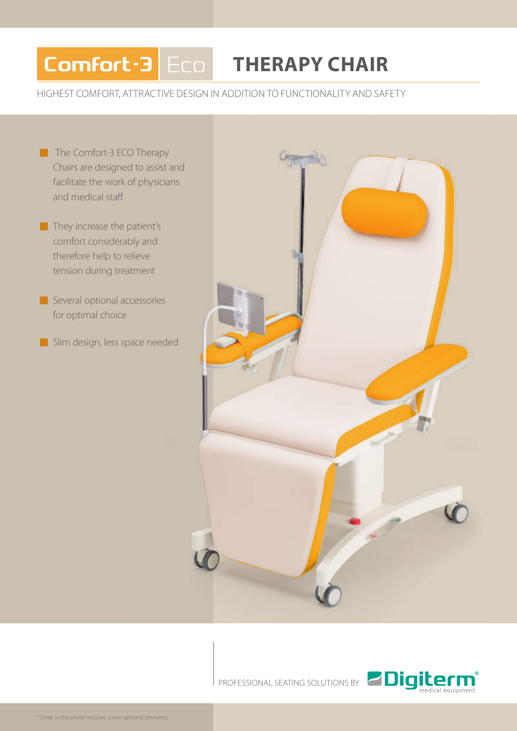## Comfort-3 Eco **THERAPY CHAIR**

HIGHEST COMFORT, ATTRACTIVE DESIGN IN ADDITION TO FUNCTIONALITY AND SAFETY

- The Comfort-3 ECO Therapy Chairs are designed to assist and facilitate the work of physicians and medical staff
- $\blacksquare$  They increase the patient's comfort considerably and therefore help to relieve tension during treatment
- Several optional accessories for optimal choice
- Slim design, less space needed